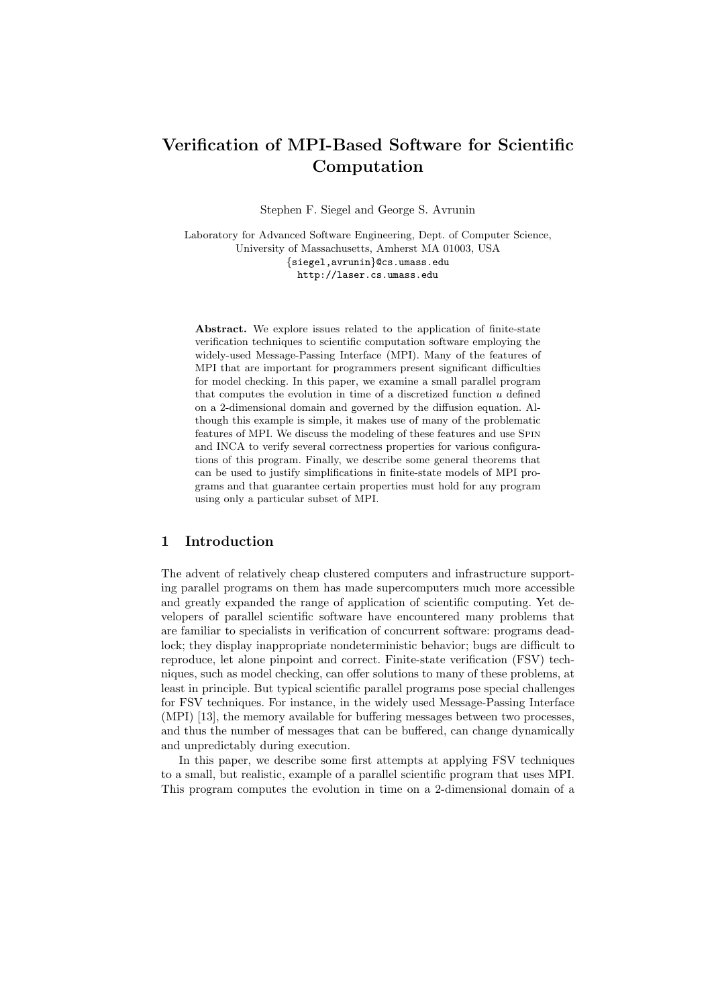# Verification of MPI-Based Software for Scientific Computation

Stephen F. Siegel and George S. Avrunin

Laboratory for Advanced Software Engineering, Dept. of Computer Science, University of Massachusetts, Amherst MA 01003, USA {siegel,avrunin}@cs.umass.edu http://laser.cs.umass.edu

Abstract. We explore issues related to the application of finite-state verification techniques to scientific computation software employing the widely-used Message-Passing Interface (MPI). Many of the features of MPI that are important for programmers present significant difficulties for model checking. In this paper, we examine a small parallel program that computes the evolution in time of a discretized function  $u$  defined on a 2-dimensional domain and governed by the diffusion equation. Although this example is simple, it makes use of many of the problematic features of MPI. We discuss the modeling of these features and use Spin and INCA to verify several correctness properties for various configurations of this program. Finally, we describe some general theorems that can be used to justify simplifications in finite-state models of MPI programs and that guarantee certain properties must hold for any program using only a particular subset of MPI.

# 1 Introduction

The advent of relatively cheap clustered computers and infrastructure supporting parallel programs on them has made supercomputers much more accessible and greatly expanded the range of application of scientific computing. Yet developers of parallel scientific software have encountered many problems that are familiar to specialists in verification of concurrent software: programs deadlock; they display inappropriate nondeterministic behavior; bugs are difficult to reproduce, let alone pinpoint and correct. Finite-state verification (FSV) techniques, such as model checking, can offer solutions to many of these problems, at least in principle. But typical scientific parallel programs pose special challenges for FSV techniques. For instance, in the widely used Message-Passing Interface (MPI) [13], the memory available for buffering messages between two processes, and thus the number of messages that can be buffered, can change dynamically and unpredictably during execution.

In this paper, we describe some first attempts at applying FSV techniques to a small, but realistic, example of a parallel scientific program that uses MPI. This program computes the evolution in time on a 2-dimensional domain of a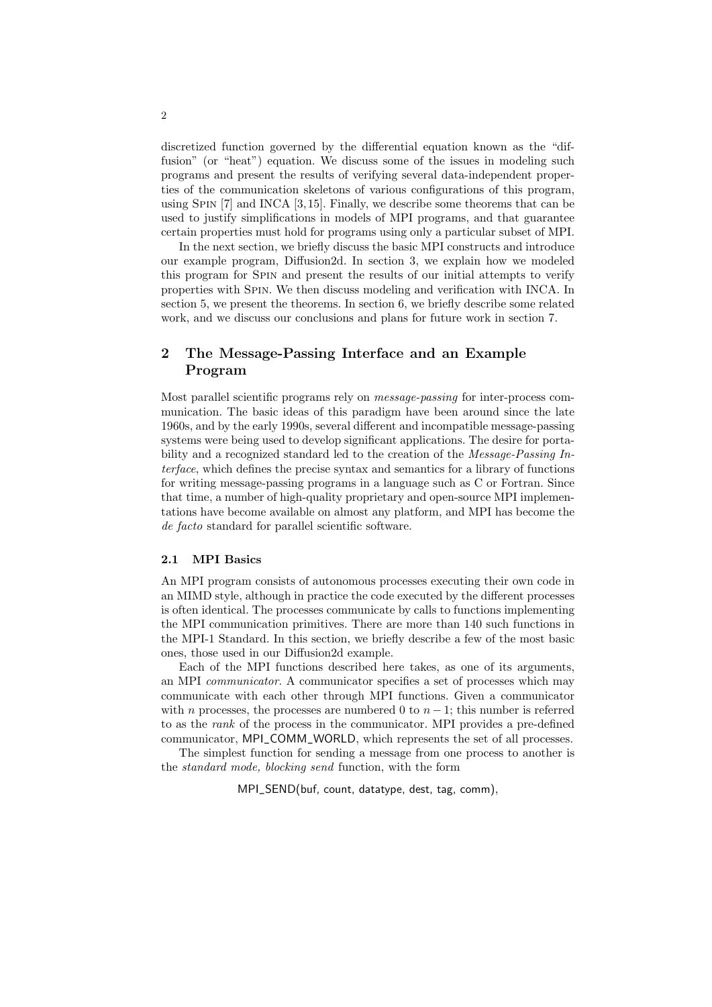discretized function governed by the differential equation known as the "diffusion" (or "heat") equation. We discuss some of the issues in modeling such programs and present the results of verifying several data-independent properties of the communication skeletons of various configurations of this program, using SPIN  $[7]$  and INCA  $[3, 15]$ . Finally, we describe some theorems that can be used to justify simplifications in models of MPI programs, and that guarantee certain properties must hold for programs using only a particular subset of MPI.

In the next section, we briefly discuss the basic MPI constructs and introduce our example program, Diffusion2d. In section 3, we explain how we modeled this program for Spin and present the results of our initial attempts to verify properties with Spin. We then discuss modeling and verification with INCA. In section 5, we present the theorems. In section 6, we briefly describe some related work, and we discuss our conclusions and plans for future work in section 7.

# 2 The Message-Passing Interface and an Example Program

Most parallel scientific programs rely on message-passing for inter-process communication. The basic ideas of this paradigm have been around since the late 1960s, and by the early 1990s, several different and incompatible message-passing systems were being used to develop significant applications. The desire for portability and a recognized standard led to the creation of the Message-Passing Interface, which defines the precise syntax and semantics for a library of functions for writing message-passing programs in a language such as C or Fortran. Since that time, a number of high-quality proprietary and open-source MPI implementations have become available on almost any platform, and MPI has become the de facto standard for parallel scientific software.

#### 2.1 MPI Basics

An MPI program consists of autonomous processes executing their own code in an MIMD style, although in practice the code executed by the different processes is often identical. The processes communicate by calls to functions implementing the MPI communication primitives. There are more than 140 such functions in the MPI-1 Standard. In this section, we briefly describe a few of the most basic ones, those used in our Diffusion2d example.

Each of the MPI functions described here takes, as one of its arguments, an MPI communicator. A communicator specifies a set of processes which may communicate with each other through MPI functions. Given a communicator with n processes, the processes are numbered 0 to  $n-1$ ; this number is referred to as the rank of the process in the communicator. MPI provides a pre-defined communicator, MPI\_COMM\_WORLD, which represents the set of all processes.

The simplest function for sending a message from one process to another is the standard mode, blocking send function, with the form

MPI\_SEND(buf, count, datatype, dest, tag, comm),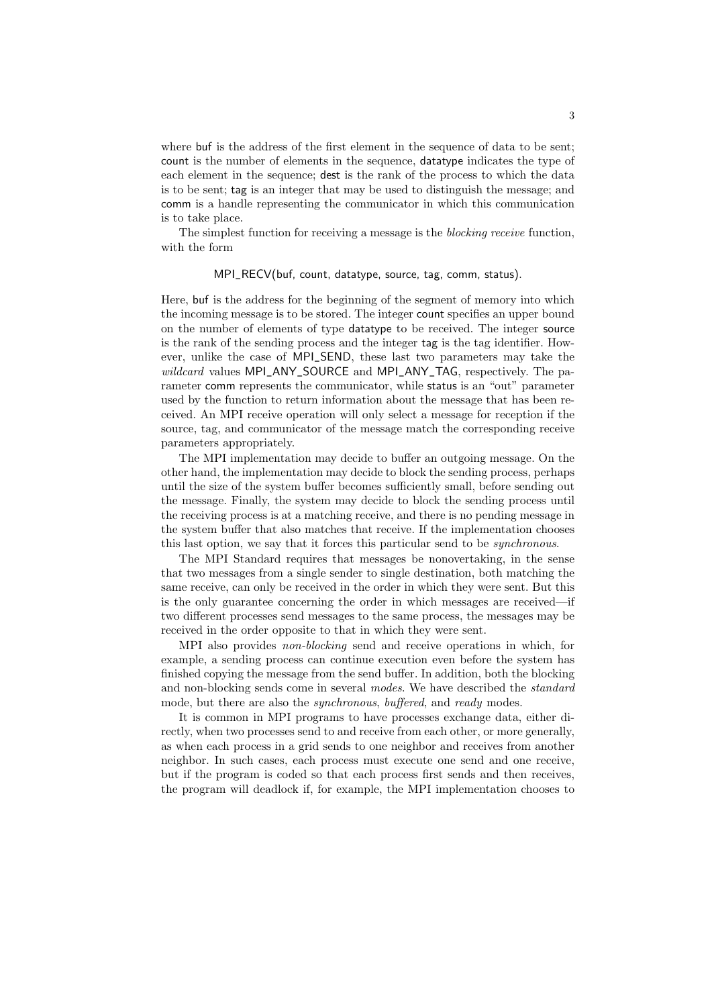where buf is the address of the first element in the sequence of data to be sent; count is the number of elements in the sequence, datatype indicates the type of each element in the sequence; dest is the rank of the process to which the data is to be sent; tag is an integer that may be used to distinguish the message; and comm is a handle representing the communicator in which this communication is to take place.

The simplest function for receiving a message is the blocking receive function, with the form

#### MPI\_RECV(buf, count, datatype, source, tag, comm, status).

Here, buf is the address for the beginning of the segment of memory into which the incoming message is to be stored. The integer count specifies an upper bound on the number of elements of type datatype to be received. The integer source is the rank of the sending process and the integer tag is the tag identifier. However, unlike the case of MPI\_SEND, these last two parameters may take the wildcard values MPI\_ANY\_SOURCE and MPI\_ANY\_TAG, respectively. The parameter comm represents the communicator, while status is an "out" parameter used by the function to return information about the message that has been received. An MPI receive operation will only select a message for reception if the source, tag, and communicator of the message match the corresponding receive parameters appropriately.

The MPI implementation may decide to buffer an outgoing message. On the other hand, the implementation may decide to block the sending process, perhaps until the size of the system buffer becomes sufficiently small, before sending out the message. Finally, the system may decide to block the sending process until the receiving process is at a matching receive, and there is no pending message in the system buffer that also matches that receive. If the implementation chooses this last option, we say that it forces this particular send to be synchronous.

The MPI Standard requires that messages be nonovertaking, in the sense that two messages from a single sender to single destination, both matching the same receive, can only be received in the order in which they were sent. But this is the only guarantee concerning the order in which messages are received—if two different processes send messages to the same process, the messages may be received in the order opposite to that in which they were sent.

MPI also provides non-blocking send and receive operations in which, for example, a sending process can continue execution even before the system has finished copying the message from the send buffer. In addition, both the blocking and non-blocking sends come in several modes. We have described the standard mode, but there are also the *synchronous*, *buffered*, and *ready* modes.

It is common in MPI programs to have processes exchange data, either directly, when two processes send to and receive from each other, or more generally, as when each process in a grid sends to one neighbor and receives from another neighbor. In such cases, each process must execute one send and one receive, but if the program is coded so that each process first sends and then receives, the program will deadlock if, for example, the MPI implementation chooses to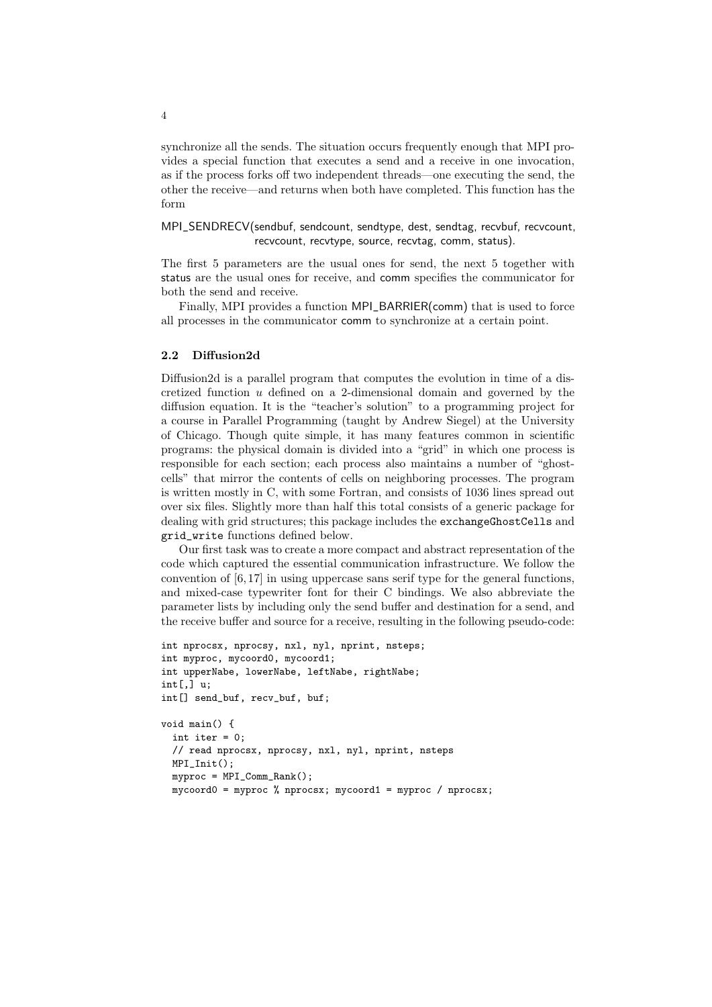synchronize all the sends. The situation occurs frequently enough that MPI provides a special function that executes a send and a receive in one invocation, as if the process forks off two independent threads—one executing the send, the other the receive—and returns when both have completed. This function has the form

MPI\_SENDRECV(sendbuf, sendcount, sendtype, dest, sendtag, recvbuf, recvcount, recvcount, recvtype, source, recvtag, comm, status).

The first 5 parameters are the usual ones for send, the next 5 together with status are the usual ones for receive, and comm specifies the communicator for both the send and receive.

Finally, MPI provides a function MPI\_BARRIER(comm) that is used to force all processes in the communicator comm to synchronize at a certain point.

#### 2.2 Diffusion2d

Diffusion2d is a parallel program that computes the evolution in time of a discretized function  $u$  defined on a 2-dimensional domain and governed by the diffusion equation. It is the "teacher's solution" to a programming project for a course in Parallel Programming (taught by Andrew Siegel) at the University of Chicago. Though quite simple, it has many features common in scientific programs: the physical domain is divided into a "grid" in which one process is responsible for each section; each process also maintains a number of "ghostcells" that mirror the contents of cells on neighboring processes. The program is written mostly in C, with some Fortran, and consists of 1036 lines spread out over six files. Slightly more than half this total consists of a generic package for dealing with grid structures; this package includes the exchangeGhostCells and grid\_write functions defined below.

Our first task was to create a more compact and abstract representation of the code which captured the essential communication infrastructure. We follow the convention of [6, 17] in using uppercase sans serif type for the general functions, and mixed-case typewriter font for their C bindings. We also abbreviate the parameter lists by including only the send buffer and destination for a send, and the receive buffer and source for a receive, resulting in the following pseudo-code:

```
int nprocsx, nprocsy, nxl, nyl, nprint, nsteps;
int myproc, mycoord0, mycoord1;
int upperNabe, lowerNabe, leftNabe, rightNabe;
int[,] u;
int[] send_buf, recv_buf, buf;
void main() {
 int iter = 0;
 // read nprocsx, nprocsy, nxl, nyl, nprint, nsteps
 MPI_Init();
 myproc = MPI_Comm_Rank();
 mycoord0 = myproc % nprocsx; mycoord1 = myproc / nprocsx;
```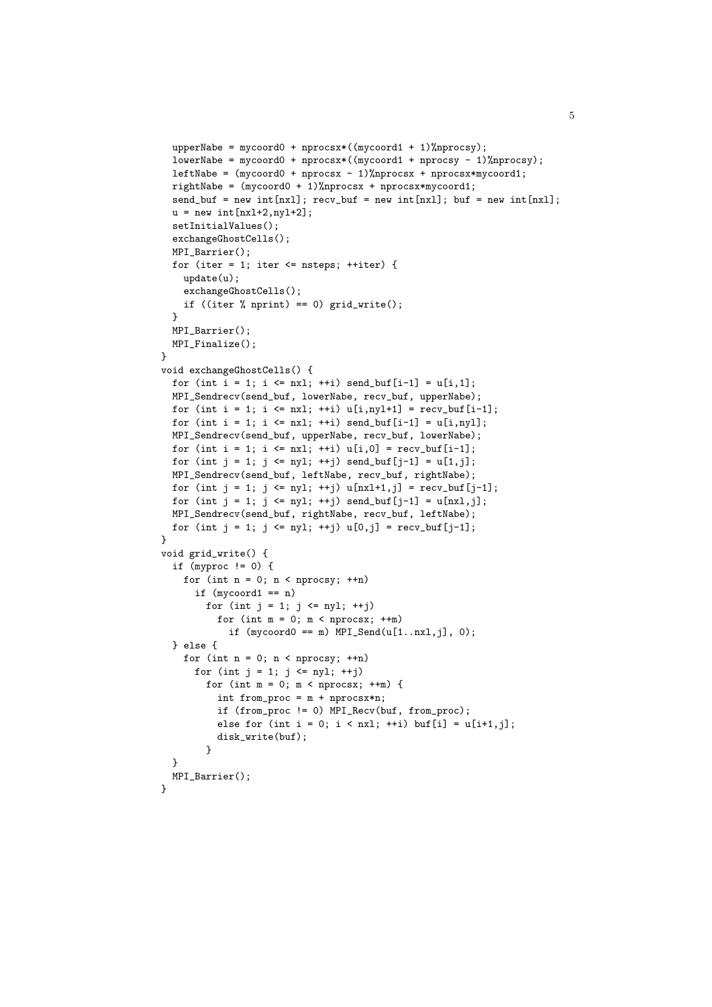```
upperNabe = mycoord0 + nprocsx*((mycoord1 + 1)\n<sub>hprocsy</sub>);
  lowerNabe = mycoord0 + nprocsx*((mycoord1 + nprocsy - 1)%nprocsy);
  leftNabe = (mycoord0 + nprocsx - 1)%nprocsx + nprocsx*mycoord1;
  rightNabe = (mycoord0 + 1)%nprocsx + nprocsx*mycoord1;
  send_buf = new int[nxl]; recv_lwt = new int[nxl]; buf = new int[nxl];
  u = new int[nxl+2,nyl+2];
  setInitialValues();
  exchangeGhostCells();
  MPI_Barrier();
  for (iter = 1; iter \leq nsteps; ++iter) {
    update(u);
    exchangeGhostCells();
    if ((iter % nprint) == 0) grid_write();
  }
  MPI_Barrier();
  MPI_Finalize();
}
void exchangeGhostCells() {
  for (int i = 1; i \leq n \times 1; +i) send_buf[i-1] = u[i,1];
  MPI_Sendrecv(send_buf, lowerNabe, recv_buf, upperNabe);
  for (int i = 1; i \leq n \times 1; +i) u[i, nyl+1] = rev_buf[i-1];
  for (int i = 1; i \leq n \times 1; +i) send_buf[i-1] = u[i,nyl];
  MPI_Sendrecv(send_buf, upperNabe, recv_buf, lowerNabe);
  for (int i = 1; i \leq n \times 1; +i) u[i, 0] = rev\_buf[i-1];
  for (int j = 1; j \leq ny1; ++j) send_buf[j-1] = u[1,j];
  MPI_Sendrecv(send_buf, leftNabe, recv_buf, rightNabe);
  for (int j = 1; j \leq ny1; ++j) u[nx1+1,j] = rev_buf[j-1];
  for (int j = 1; j \leq ny1; ++j) send_buf[j-1] = u[nxl,j];
  MPI_Sendrecv(send_buf, rightNabe, recv_buf, leftNabe);
  for (int j = 1; j \leq ny1; ++j) u[0,j] = \text{recv\_buf}[j-1];
}
void grid_write() {
  if (myproc != 0) {
    for (int n = 0; n < nprocsy; +n)
      if (mycoord1 == n)for (int j = 1; j \leq ny1; ++j)
          for (int m = 0; m < nprocsx; ++m)
            if (mycoord0 == m) <i>MPI\_Send(u[1..nxl,j], 0);</i>} else {
    for (int n = 0; n <nprocsy; +n)
      for (int j = 1; j \leq ny1; ++j)
        for (int m = 0; m < nprocsx; ++m) {
          int from_proc = m + nprocsx*n;
          if (from_proc != 0) MPI_Recv(buf, from_proc);
          else for (int i = 0; i < nxl; ++i) buf[i] = u[i+1,j];
          disk_write(buf);
        }
  }
 MPI_Barrier();
}
```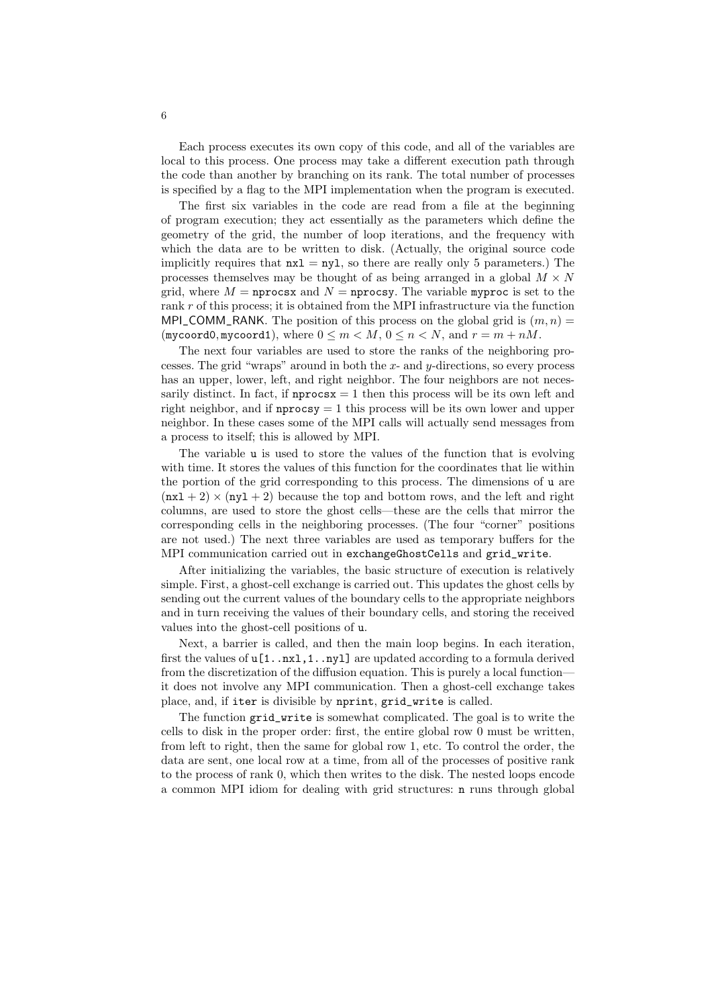Each process executes its own copy of this code, and all of the variables are local to this process. One process may take a different execution path through the code than another by branching on its rank. The total number of processes is specified by a flag to the MPI implementation when the program is executed.

The first six variables in the code are read from a file at the beginning of program execution; they act essentially as the parameters which define the geometry of the grid, the number of loop iterations, and the frequency with which the data are to be written to disk. (Actually, the original source code implicitly requires that  $nx1 = ny1$ , so there are really only 5 parameters.) The processes themselves may be thought of as being arranged in a global  $M \times N$ grid, where  $M =$ **nprocsx** and  $N =$ **nprocsy**. The variable **myproc** is set to the rank r of this process; it is obtained from the MPI infrastructure via the function MPI\_COMM\_RANK. The position of this process on the global grid is  $(m, n) =$ (mycoord0, mycoord1), where  $0 \le m \le M$ ,  $0 \le n \le N$ , and  $r = m + nM$ .

The next four variables are used to store the ranks of the neighboring processes. The grid "wraps" around in both the  $x$ - and  $y$ -directions, so every process has an upper, lower, left, and right neighbor. The four neighbors are not necessarily distinct. In fact, if  $nprocsx = 1$  then this process will be its own left and right neighbor, and if  $nprocsy = 1$  this process will be its own lower and upper neighbor. In these cases some of the MPI calls will actually send messages from a process to itself; this is allowed by MPI.

The variable u is used to store the values of the function that is evolving with time. It stores the values of this function for the coordinates that lie within the portion of the grid corresponding to this process. The dimensions of u are  $(nx1 + 2) \times (ny1 + 2)$  because the top and bottom rows, and the left and right columns, are used to store the ghost cells—these are the cells that mirror the corresponding cells in the neighboring processes. (The four "corner" positions are not used.) The next three variables are used as temporary buffers for the MPI communication carried out in exchangeGhostCells and grid\_write.

After initializing the variables, the basic structure of execution is relatively simple. First, a ghost-cell exchange is carried out. This updates the ghost cells by sending out the current values of the boundary cells to the appropriate neighbors and in turn receiving the values of their boundary cells, and storing the received values into the ghost-cell positions of u.

Next, a barrier is called, and then the main loop begins. In each iteration, first the values of  $u[1..nx1,1..ny1]$  are updated according to a formula derived from the discretization of the diffusion equation. This is purely a local function it does not involve any MPI communication. Then a ghost-cell exchange takes place, and, if iter is divisible by nprint, grid\_write is called.

The function grid\_write is somewhat complicated. The goal is to write the cells to disk in the proper order: first, the entire global row 0 must be written, from left to right, then the same for global row 1, etc. To control the order, the data are sent, one local row at a time, from all of the processes of positive rank to the process of rank 0, which then writes to the disk. The nested loops encode a common MPI idiom for dealing with grid structures: n runs through global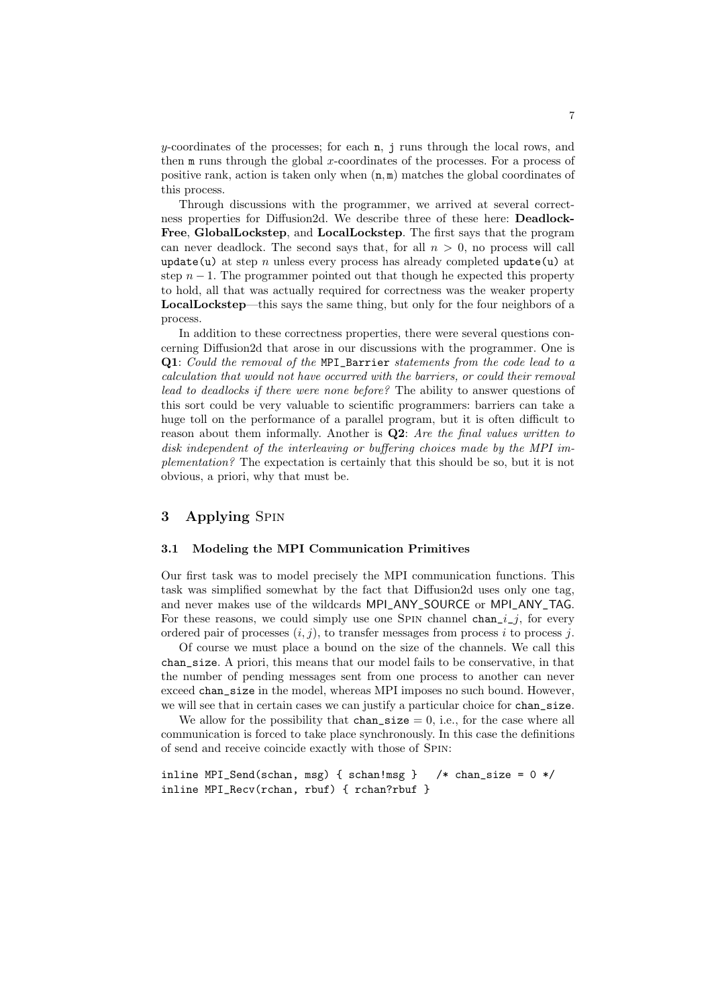y-coordinates of the processes; for each n, j runs through the local rows, and then m runs through the global x-coordinates of the processes. For a process of positive rank, action is taken only when (n, m) matches the global coordinates of this process.

Through discussions with the programmer, we arrived at several correctness properties for Diffusion2d. We describe three of these here: Deadlock-Free, GlobalLockstep, and LocalLockstep. The first says that the program can never deadlock. The second says that, for all  $n > 0$ , no process will call update(u) at step  $n$  unless every process has already completed update(u) at step  $n-1$ . The programmer pointed out that though he expected this property to hold, all that was actually required for correctness was the weaker property LocalLockstep—this says the same thing, but only for the four neighbors of a process.

In addition to these correctness properties, there were several questions concerning Diffusion2d that arose in our discussions with the programmer. One is Q1: Could the removal of the MPI\_Barrier statements from the code lead to a calculation that would not have occurred with the barriers, or could their removal lead to deadlocks if there were none before? The ability to answer questions of this sort could be very valuable to scientific programmers: barriers can take a huge toll on the performance of a parallel program, but it is often difficult to reason about them informally. Another is Q2: Are the final values written to disk independent of the interleaving or buffering choices made by the MPI implementation? The expectation is certainly that this should be so, but it is not obvious, a priori, why that must be.

# 3 Applying Spin

#### 3.1 Modeling the MPI Communication Primitives

Our first task was to model precisely the MPI communication functions. This task was simplified somewhat by the fact that Diffusion2d uses only one tag, and never makes use of the wildcards MPI\_ANY\_SOURCE or MPI\_ANY\_TAG. For these reasons, we could simply use one SPIN channel  $\texttt{chan}_i_j$ , for every ordered pair of processes  $(i, j)$ , to transfer messages from process i to process j.

Of course we must place a bound on the size of the channels. We call this chan\_size. A priori, this means that our model fails to be conservative, in that the number of pending messages sent from one process to another can never exceed chan\_size in the model, whereas MPI imposes no such bound. However, we will see that in certain cases we can justify a particular choice for chan\_size.

We allow for the possibility that  $\texttt{chan\_size} = 0$ , i.e., for the case where all communication is forced to take place synchronously. In this case the definitions of send and receive coincide exactly with those of Spin:

```
inline MPI_Send(schan, msg) { schan!msg } /* chan_size = 0 */
inline MPI_Recv(rchan, rbuf) { rchan?rbuf }
```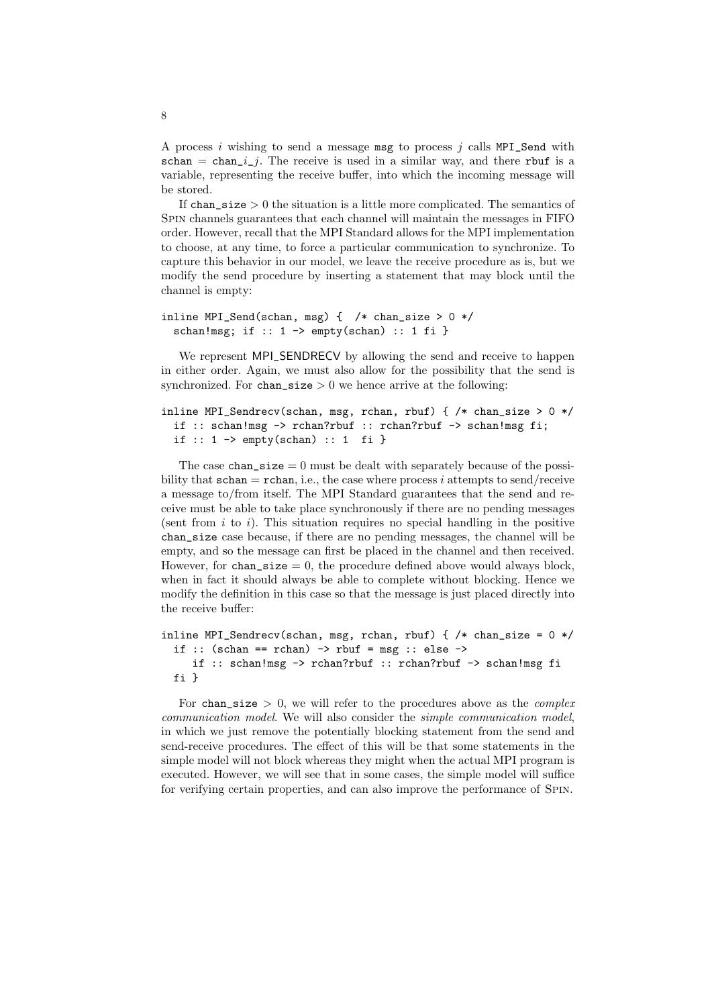A process i wishing to send a message msg to process j calls  $MPI\_Send$  with schan = chan\_i\_j. The receive is used in a similar way, and there rbuf is a variable, representing the receive buffer, into which the incoming message will be stored.

If chan  $size > 0$  the situation is a little more complicated. The semantics of Spin channels guarantees that each channel will maintain the messages in FIFO order. However, recall that the MPI Standard allows for the MPI implementation to choose, at any time, to force a particular communication to synchronize. To capture this behavior in our model, we leave the receive procedure as is, but we modify the send procedure by inserting a statement that may block until the channel is empty:

```
inline MPI_Send(schan, msg) { /* chan_size > 0 */
  schan!msg; if :: 1 \rightarrow empty(schan) :: 1 fi }
```
We represent MPI\_SENDRECV by allowing the send and receive to happen in either order. Again, we must also allow for the possibility that the send is synchronized. For chan\_size  $> 0$  we hence arrive at the following:

```
inline MPI_Sendrecv(schan, msg, rchan, rbuf) { /* chan_size > 0 */
  if :: schan!msg -> rchan?rbuf :: rchan?rbuf -> schan!msg fi;
  if :: 1 \rightarrow \text{empty}(\text{schan}) :: 1 \text{ fi}
```
The case chan\_size  $= 0$  must be dealt with separately because of the possibility that  $\text{schan} = \text{rchan}$ , i.e., the case where process i attempts to send/receive a message to/from itself. The MPI Standard guarantees that the send and receive must be able to take place synchronously if there are no pending messages (sent from i to i). This situation requires no special handling in the positive chan\_size case because, if there are no pending messages, the channel will be empty, and so the message can first be placed in the channel and then received. However, for chan\_size  $= 0$ , the procedure defined above would always block, when in fact it should always be able to complete without blocking. Hence we modify the definition in this case so that the message is just placed directly into the receive buffer:

```
inline MPI_Sendrecv(schan, msg, rchan, rbuf) { /* chan_size = 0 */if :: (schan == rchan) \rightarrow rbuf = msg :: else \rightarrowif :: schan!msg -> rchan?rbuf :: rchan?rbuf -> schan!msg fi
  fi }
```
For chan\_size  $> 0$ , we will refer to the procedures above as the *complex* communication model. We will also consider the simple communication model, in which we just remove the potentially blocking statement from the send and send-receive procedures. The effect of this will be that some statements in the simple model will not block whereas they might when the actual MPI program is executed. However, we will see that in some cases, the simple model will suffice for verifying certain properties, and can also improve the performance of Spin.

8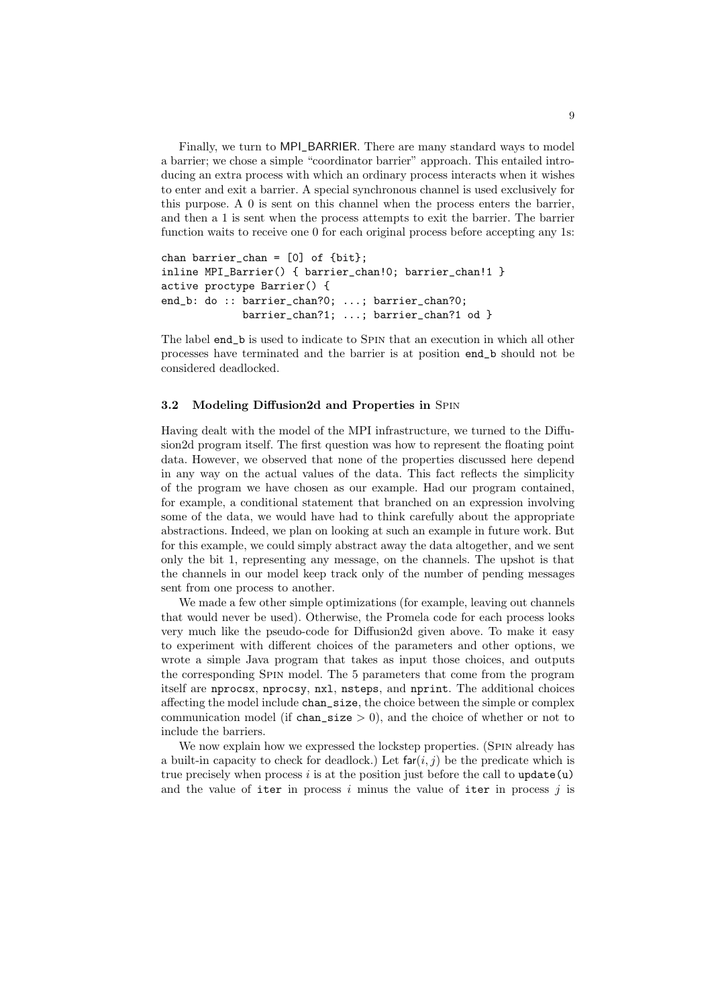Finally, we turn to MPI\_BARRIER. There are many standard ways to model a barrier; we chose a simple "coordinator barrier" approach. This entailed introducing an extra process with which an ordinary process interacts when it wishes to enter and exit a barrier. A special synchronous channel is used exclusively for this purpose. A 0 is sent on this channel when the process enters the barrier, and then a 1 is sent when the process attempts to exit the barrier. The barrier function waits to receive one 0 for each original process before accepting any 1s:

```
chan barrier_chan = [0] of \{bit\};inline MPI_Barrier() { barrier_chan!0; barrier_chan!1 }
active proctype Barrier() {
end_b: do :: barrier_chan?0; ...; barrier_chan?0;
             barrier_chan?1; ...; barrier_chan?1 od }
```
The label end<sub>-</sub>b is used to indicate to SPIN that an execution in which all other processes have terminated and the barrier is at position end\_b should not be considered deadlocked.

#### 3.2 Modeling Diffusion2d and Properties in SPIN

Having dealt with the model of the MPI infrastructure, we turned to the Diffusion2d program itself. The first question was how to represent the floating point data. However, we observed that none of the properties discussed here depend in any way on the actual values of the data. This fact reflects the simplicity of the program we have chosen as our example. Had our program contained, for example, a conditional statement that branched on an expression involving some of the data, we would have had to think carefully about the appropriate abstractions. Indeed, we plan on looking at such an example in future work. But for this example, we could simply abstract away the data altogether, and we sent only the bit 1, representing any message, on the channels. The upshot is that the channels in our model keep track only of the number of pending messages sent from one process to another.

We made a few other simple optimizations (for example, leaving out channels that would never be used). Otherwise, the Promela code for each process looks very much like the pseudo-code for Diffusion2d given above. To make it easy to experiment with different choices of the parameters and other options, we wrote a simple Java program that takes as input those choices, and outputs the corresponding Spin model. The 5 parameters that come from the program itself are nprocsx, nprocsy, nxl, nsteps, and nprint. The additional choices affecting the model include chan\_size, the choice between the simple or complex communication model (if chan\_size  $> 0$ ), and the choice of whether or not to include the barriers.

We now explain how we expressed the lockstep properties. (SPIN already has a built-in capacity to check for deadlock.) Let  $far(i, j)$  be the predicate which is true precisely when process i is at the position just before the call to  $update(u)$ and the value of iter in process i minus the value of iter in process j is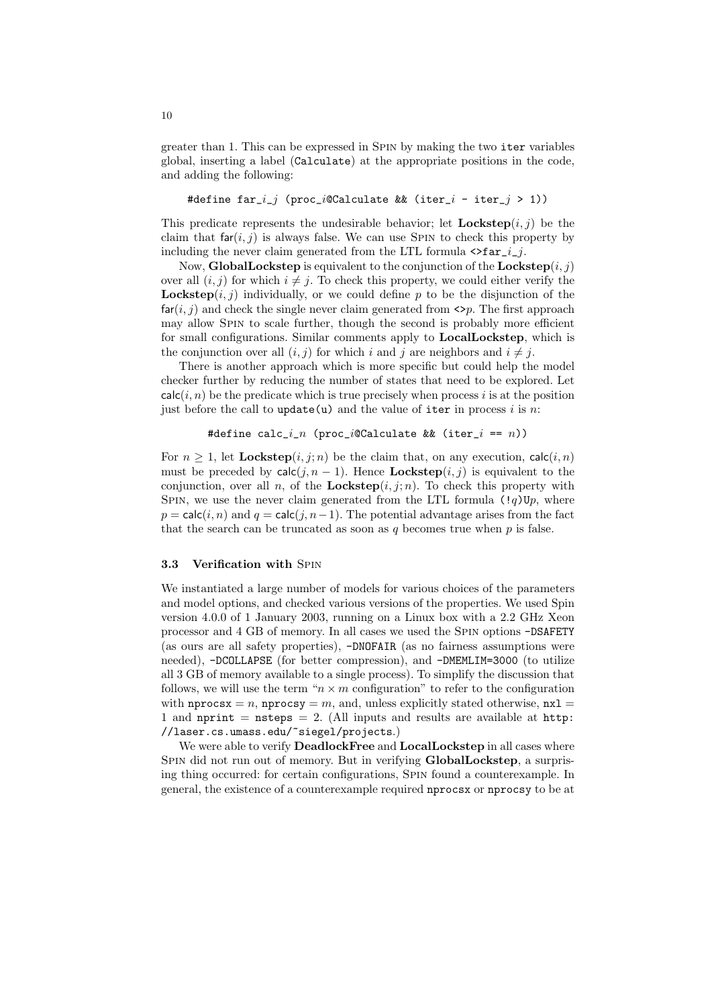greater than 1. This can be expressed in Spin by making the two iter variables global, inserting a label (Calculate) at the appropriate positions in the code, and adding the following:

```
#define far_i_j (proc_i@Calculate && (iter_i - iter_j > 1))
```
This predicate represents the undesirable behavior; let  $Lockstep(i, j)$  be the claim that  $far(i, j)$  is always false. We can use SPIN to check this property by including the never claim generated from the LTL formula  $\epsilon$ <sup> $\epsilon$ </sup> $\alpha$ <sup> $i$ </sup> $\epsilon$ <sup> $j$ </sup>.

Now, GlobalLockstep is equivalent to the conjunction of the Lockstep $(i, j)$ over all  $(i, j)$  for which  $i \neq j$ . To check this property, we could either verify the **Lockstep** $(i, j)$  individually, or we could define p to be the disjunction of the  $far(i, j)$  and check the single never claim generated from  $\langle p \rangle$ . The first approach may allow Spin to scale further, though the second is probably more efficient for small configurations. Similar comments apply to LocalLockstep, which is the conjunction over all  $(i, j)$  for which i and j are neighbors and  $i \neq j$ .

There is another approach which is more specific but could help the model checker further by reducing the number of states that need to be explored. Let  $\textsf{calc}(i, n)$  be the predicate which is true precisely when process i is at the position just before the call to  $update(u)$  and the value of iter in process i is n:

```
#define calc_i_n (proc_i@Calculate && (iter_i == n))
```
For  $n \geq 1$ , let **Lockstep** $(i, j; n)$  be the claim that, on any execution, calc $(i, n)$ must be preceded by  $\mathsf{calc}(j, n-1)$ . Hence  $\mathsf{Lockstep}(i, j)$  is equivalent to the conjunction, over all n, of the **Lockstep** $(i, j; n)$ . To check this property with SPIN, we use the never claim generated from the LTL formula  $(1q)U_p$ , where  $p = \text{calc}(i, n)$  and  $q = \text{calc}(j, n-1)$ . The potential advantage arises from the fact that the search can be truncated as soon as  $q$  becomes true when  $p$  is false.

#### 3.3 Verification with Spin

We instantiated a large number of models for various choices of the parameters and model options, and checked various versions of the properties. We used Spin version 4.0.0 of 1 January 2003, running on a Linux box with a 2.2 GHz Xeon processor and 4 GB of memory. In all cases we used the Spin options -DSAFETY (as ours are all safety properties), -DNOFAIR (as no fairness assumptions were needed), -DCOLLAPSE (for better compression), and -DMEMLIM=3000 (to utilize all 3 GB of memory available to a single process). To simplify the discussion that follows, we will use the term " $n \times m$  configuration" to refer to the configuration with nprocsx = n, nprocsy = m, and, unless explicitly stated otherwise,  $nx1 =$ 1 and nprint = nsteps = 2. (All inputs and results are available at http: //laser.cs.umass.edu/~siegel/projects.)

We were able to verify **DeadlockFree** and **LocalLockstep** in all cases where Spin did not run out of memory. But in verifying GlobalLockstep, a surprising thing occurred: for certain configurations, Spin found a counterexample. In general, the existence of a counterexample required nprocsx or nprocsy to be at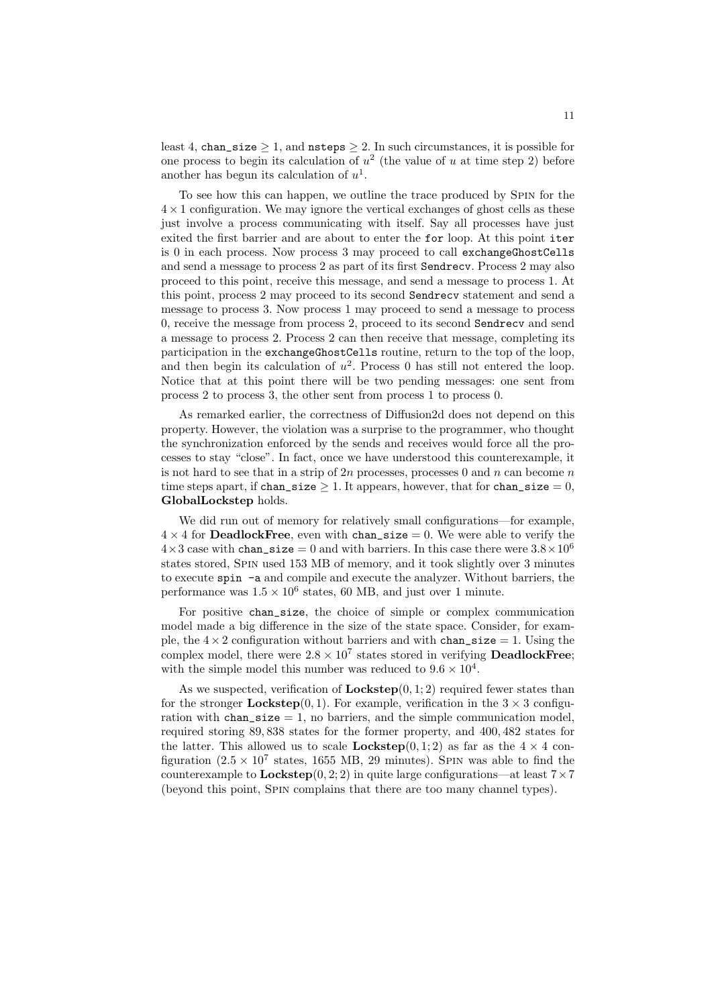least 4, chan\_size  $\geq 1$ , and nsteps  $\geq 2$ . In such circumstances, it is possible for one process to begin its calculation of  $u^2$  (the value of u at time step 2) before another has begun its calculation of  $u^1$ .

To see how this can happen, we outline the trace produced by Spin for the  $4 \times 1$  configuration. We may ignore the vertical exchanges of ghost cells as these just involve a process communicating with itself. Say all processes have just exited the first barrier and are about to enter the for loop. At this point iter is 0 in each process. Now process 3 may proceed to call exchangeGhostCells and send a message to process 2 as part of its first Sendrecv. Process 2 may also proceed to this point, receive this message, and send a message to process 1. At this point, process 2 may proceed to its second Sendrecv statement and send a message to process 3. Now process 1 may proceed to send a message to process 0, receive the message from process 2, proceed to its second Sendrecv and send a message to process 2. Process 2 can then receive that message, completing its participation in the exchangeGhostCells routine, return to the top of the loop, and then begin its calculation of  $u^2$ . Process 0 has still not entered the loop. Notice that at this point there will be two pending messages: one sent from process 2 to process 3, the other sent from process 1 to process 0.

As remarked earlier, the correctness of Diffusion2d does not depend on this property. However, the violation was a surprise to the programmer, who thought the synchronization enforced by the sends and receives would force all the processes to stay "close". In fact, once we have understood this counterexample, it is not hard to see that in a strip of  $2n$  processes, processes 0 and n can become n time steps apart, if chan\_size  $\geq 1$ . It appears, however, that for chan\_size = 0, GlobalLockstep holds.

We did run out of memory for relatively small configurations—for example,  $4 \times 4$  for **DeadlockFree**, even with chan\_size = 0. We were able to verify the  $4\times3$  case with chan\_size = 0 and with barriers. In this case there were  $3.8\times10^6$ states stored, Spin used 153 MB of memory, and it took slightly over 3 minutes to execute spin -a and compile and execute the analyzer. Without barriers, the performance was  $1.5 \times 10^6$  states, 60 MB, and just over 1 minute.

For positive chan\_size, the choice of simple or complex communication model made a big difference in the size of the state space. Consider, for example, the  $4 \times 2$  configuration without barriers and with chan\_size = 1. Using the complex model, there were  $2.8 \times 10^7$  states stored in verifying **DeadlockFree**; with the simple model this number was reduced to  $9.6 \times 10^4$ .

As we suspected, verification of  $Lockstep(0, 1; 2)$  required fewer states than for the stronger **Lockstep**(0, 1). For example, verification in the  $3 \times 3$  configuration with chan\_size  $= 1$ , no barriers, and the simple communication model, required storing 89, 838 states for the former property, and 400, 482 states for the latter. This allowed us to scale  $Lockstep(0, 1; 2)$  as far as the  $4 \times 4$  configuration  $(2.5 \times 10^7$  states, 1655 MB, 29 minutes). SPIN was able to find the counterexample to **Lockstep** $(0, 2; 2)$  in quite large configurations—at least  $7 \times 7$ (beyond this point, Spin complains that there are too many channel types).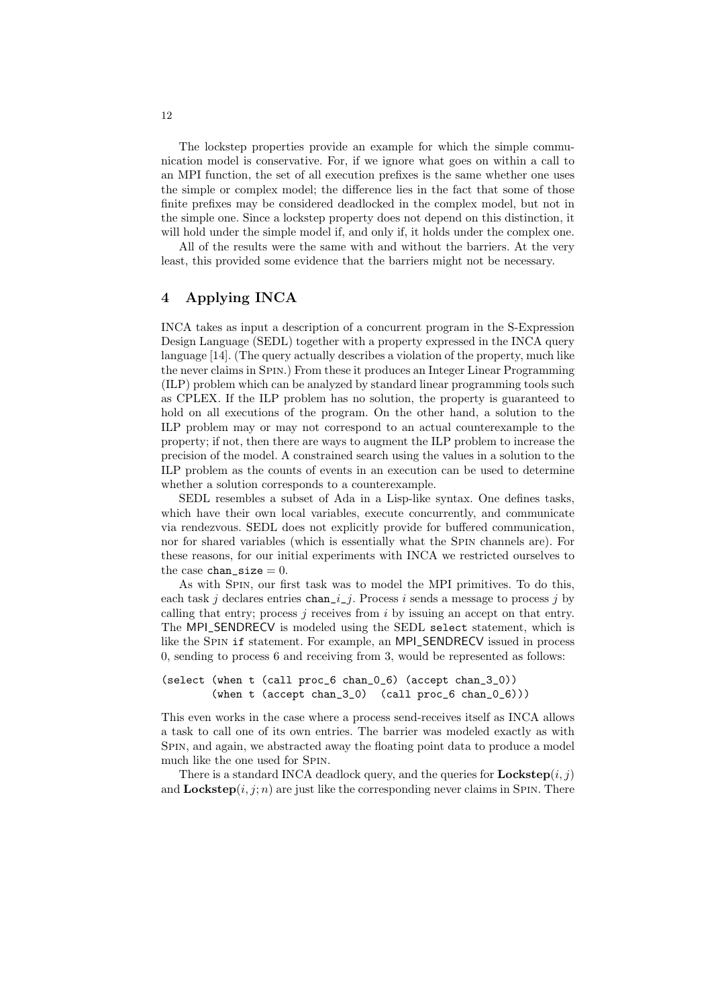The lockstep properties provide an example for which the simple communication model is conservative. For, if we ignore what goes on within a call to an MPI function, the set of all execution prefixes is the same whether one uses the simple or complex model; the difference lies in the fact that some of those finite prefixes may be considered deadlocked in the complex model, but not in the simple one. Since a lockstep property does not depend on this distinction, it will hold under the simple model if, and only if, it holds under the complex one.

All of the results were the same with and without the barriers. At the very least, this provided some evidence that the barriers might not be necessary.

# 4 Applying INCA

INCA takes as input a description of a concurrent program in the S-Expression Design Language (SEDL) together with a property expressed in the INCA query language [14]. (The query actually describes a violation of the property, much like the never claims in Spin.) From these it produces an Integer Linear Programming (ILP) problem which can be analyzed by standard linear programming tools such as CPLEX. If the ILP problem has no solution, the property is guaranteed to hold on all executions of the program. On the other hand, a solution to the ILP problem may or may not correspond to an actual counterexample to the property; if not, then there are ways to augment the ILP problem to increase the precision of the model. A constrained search using the values in a solution to the ILP problem as the counts of events in an execution can be used to determine whether a solution corresponds to a counterexample.

SEDL resembles a subset of Ada in a Lisp-like syntax. One defines tasks, which have their own local variables, execute concurrently, and communicate via rendezvous. SEDL does not explicitly provide for buffered communication, nor for shared variables (which is essentially what the Spin channels are). For these reasons, for our initial experiments with INCA we restricted ourselves to the case chan  $size = 0$ .

As with Spin, our first task was to model the MPI primitives. To do this, each task j declares entries chan\_i\_j. Process i sends a message to process j by calling that entry; process  $j$  receives from  $i$  by issuing an accept on that entry. The MPI\_SENDRECV is modeled using the SEDL select statement, which is like the Spin if statement. For example, an MPI\_SENDRECV issued in process 0, sending to process 6 and receiving from 3, would be represented as follows:

```
(select (when t (call proc_6 chan_0_6) (accept chan_3_0))
       (when t (accept chan 3_0) (call proc 6 chan 0_6)))
```
This even works in the case where a process send-receives itself as INCA allows a task to call one of its own entries. The barrier was modeled exactly as with Spin, and again, we abstracted away the floating point data to produce a model much like the one used for Spin.

There is a standard INCA deadlock query, and the queries for  $Lockstep(i, j)$ and **Lockstep** $(i, j; n)$  are just like the corresponding never claims in SPIN. There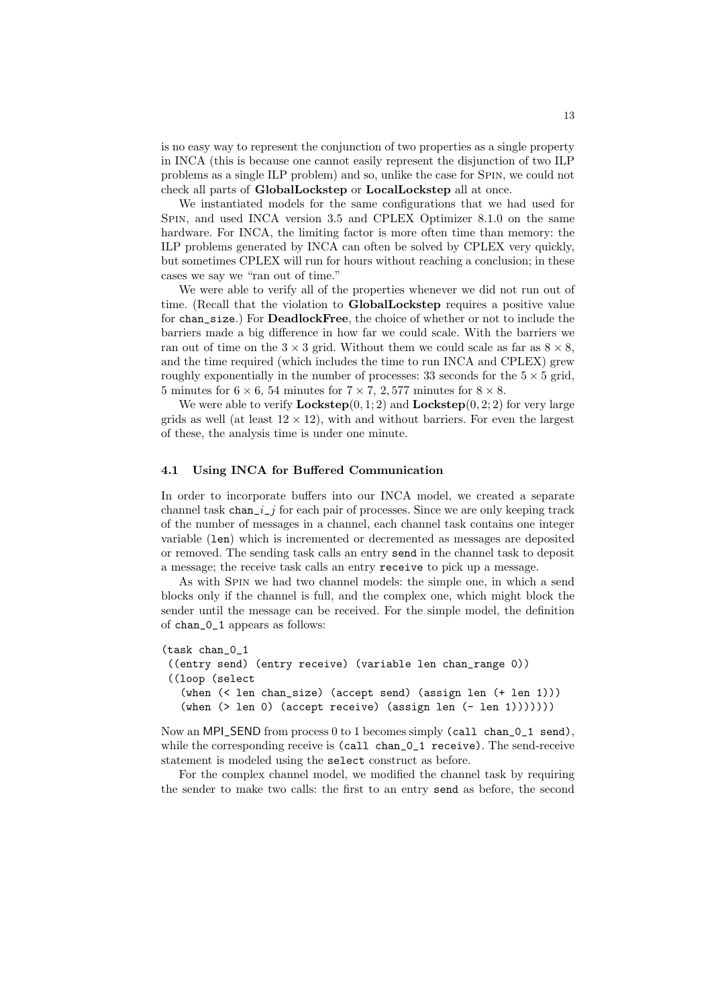is no easy way to represent the conjunction of two properties as a single property in INCA (this is because one cannot easily represent the disjunction of two ILP problems as a single ILP problem) and so, unlike the case for SPIN, we could not check all parts of GlobalLockstep or LocalLockstep all at once.

We instantiated models for the same configurations that we had used for Spin, and used INCA version 3.5 and CPLEX Optimizer 8.1.0 on the same hardware. For INCA, the limiting factor is more often time than memory: the ILP problems generated by INCA can often be solved by CPLEX very quickly, but sometimes CPLEX will run for hours without reaching a conclusion; in these cases we say we "ran out of time."

We were able to verify all of the properties whenever we did not run out of time. (Recall that the violation to **GlobalLockstep** requires a positive value for chan\_size.) For DeadlockFree, the choice of whether or not to include the barriers made a big difference in how far we could scale. With the barriers we ran out of time on the  $3 \times 3$  grid. Without them we could scale as far as  $8 \times 8$ , and the time required (which includes the time to run INCA and CPLEX) grew roughly exponentially in the number of processes: 33 seconds for the  $5 \times 5$  grid, 5 minutes for  $6 \times 6$ , 54 minutes for  $7 \times 7$ , 2, 577 minutes for  $8 \times 8$ .

We were able to verify  $Lockstep(0, 1; 2)$  and  $Lockstep(0, 2; 2)$  for very large grids as well (at least  $12 \times 12$ ), with and without barriers. For even the largest of these, the analysis time is under one minute.

#### 4.1 Using INCA for Buffered Communication

In order to incorporate buffers into our INCA model, we created a separate channel task chan\_ $i$ \_j for each pair of processes. Since we are only keeping track of the number of messages in a channel, each channel task contains one integer variable (len) which is incremented or decremented as messages are deposited or removed. The sending task calls an entry send in the channel task to deposit a message; the receive task calls an entry receive to pick up a message.

As with SPIN we had two channel models: the simple one, in which a send blocks only if the channel is full, and the complex one, which might block the sender until the message can be received. For the simple model, the definition of chan\_0\_1 appears as follows:

```
(task chan_0_1
 ((entry send) (entry receive) (variable len chan_range 0))
 ((loop (select
   (when (< len chan_size) (accept send) (assign len (+ len 1)))
   (when (<i>len 0</i>) (accept receive) (assign len (- len 1)))))
```
Now an MPI\_SEND from process  $0$  to 1 becomes simply (call chan  $0.1$  send), while the corresponding receive is (call chan\_0\_1 receive). The send-receive statement is modeled using the select construct as before.

For the complex channel model, we modified the channel task by requiring the sender to make two calls: the first to an entry send as before, the second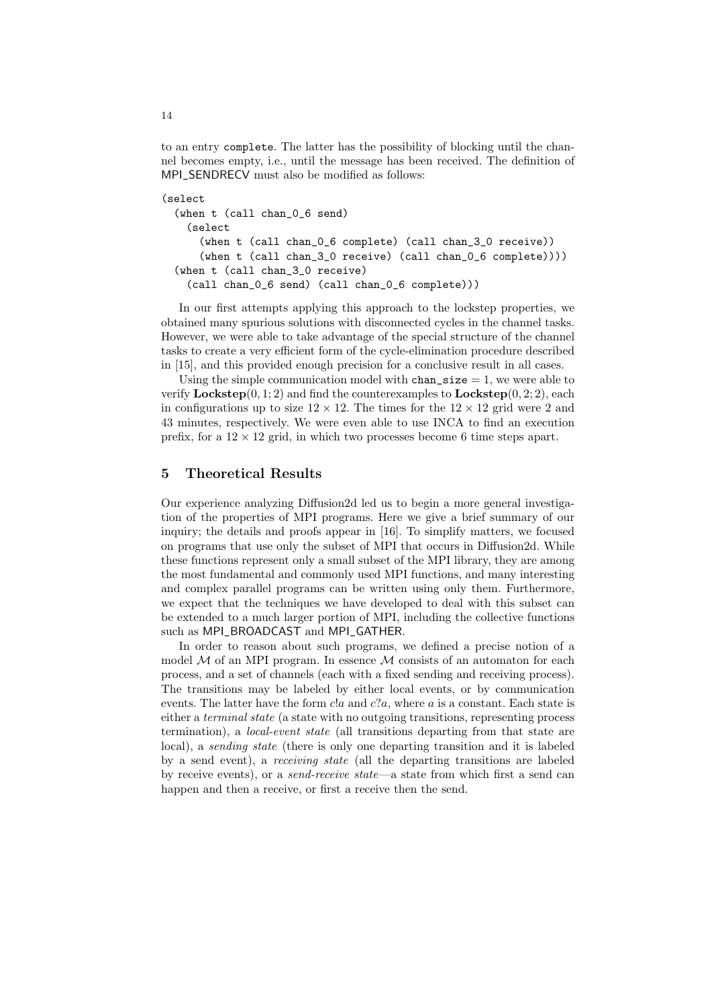to an entry complete. The latter has the possibility of blocking until the channel becomes empty, i.e., until the message has been received. The definition of MPI\_SENDRECV must also be modified as follows:

```
(select
  (when t (call chan_0_6 send)
    (select
      (when t (call chan_0_6 complete) (call chan_3_0 receive))
      (when t (call chan_3_0 receive) (call chan_0_6 complete))))
  (when t (call chan_3_0 receive)
    (call chan_0_6 send) (call chan_0_6 complete)))
```
In our first attempts applying this approach to the lockstep properties, we obtained many spurious solutions with disconnected cycles in the channel tasks. However, we were able to take advantage of the special structure of the channel tasks to create a very efficient form of the cycle-elimination procedure described in [15], and this provided enough precision for a conclusive result in all cases.

Using the simple communication model with  $\texttt{chan\_size} = 1$ , we were able to verify  $\mathbf{Lockstep}(0, 1; 2)$  and find the counterexamples to  $\mathbf{Lockstep}(0, 2; 2)$ , each in configurations up to size  $12 \times 12$ . The times for the  $12 \times 12$  grid were 2 and 43 minutes, respectively. We were even able to use INCA to find an execution prefix, for a  $12 \times 12$  grid, in which two processes become 6 time steps apart.

## 5 Theoretical Results

Our experience analyzing Diffusion2d led us to begin a more general investigation of the properties of MPI programs. Here we give a brief summary of our inquiry; the details and proofs appear in [16]. To simplify matters, we focused on programs that use only the subset of MPI that occurs in Diffusion2d. While these functions represent only a small subset of the MPI library, they are among the most fundamental and commonly used MPI functions, and many interesting and complex parallel programs can be written using only them. Furthermore, we expect that the techniques we have developed to deal with this subset can be extended to a much larger portion of MPI, including the collective functions such as MPI\_BROADCAST and MPI\_GATHER.

In order to reason about such programs, we defined a precise notion of a model  $M$  of an MPI program. In essence  $M$  consists of an automaton for each process, and a set of channels (each with a fixed sending and receiving process). The transitions may be labeled by either local events, or by communication events. The latter have the form  $cla$  and  $cla$ , where a is a constant. Each state is either a *terminal state* (a state with no outgoing transitions, representing process termination), a local-event state (all transitions departing from that state are local), a sending state (there is only one departing transition and it is labeled by a send event), a receiving state (all the departing transitions are labeled by receive events), or a send-receive state—a state from which first a send can happen and then a receive, or first a receive then the send.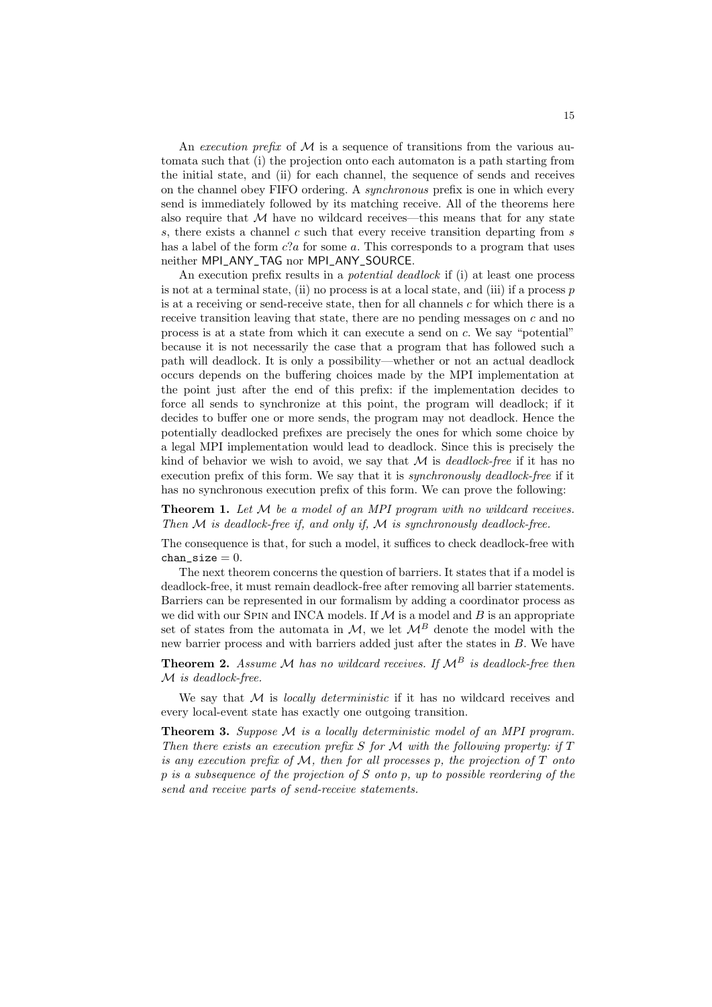An execution prefix of  $\mathcal M$  is a sequence of transitions from the various automata such that (i) the projection onto each automaton is a path starting from the initial state, and (ii) for each channel, the sequence of sends and receives on the channel obey FIFO ordering. A synchronous prefix is one in which every send is immediately followed by its matching receive. All of the theorems here also require that  $\mathcal M$  have no wildcard receives—this means that for any state s, there exists a channel  $c$  such that every receive transition departing from  $s$ has a label of the form  $c$ ? a for some a. This corresponds to a program that uses neither MPI\_ANY\_TAG nor MPI\_ANY\_SOURCE.

An execution prefix results in a *potential deadlock* if (i) at least one process is not at a terminal state, (ii) no process is at a local state, and (iii) if a process  $p$ is at a receiving or send-receive state, then for all channels  $c$  for which there is a receive transition leaving that state, there are no pending messages on  $c$  and no process is at a state from which it can execute a send on c. We say "potential" because it is not necessarily the case that a program that has followed such a path will deadlock. It is only a possibility—whether or not an actual deadlock occurs depends on the buffering choices made by the MPI implementation at the point just after the end of this prefix: if the implementation decides to force all sends to synchronize at this point, the program will deadlock; if it decides to buffer one or more sends, the program may not deadlock. Hence the potentially deadlocked prefixes are precisely the ones for which some choice by a legal MPI implementation would lead to deadlock. Since this is precisely the kind of behavior we wish to avoid, we say that  $\mathcal M$  is *deadlock-free* if it has no execution prefix of this form. We say that it is *synchronously deadlock-free* if it has no synchronous execution prefix of this form. We can prove the following:

**Theorem 1.** Let  $M$  be a model of an MPI program with no wildcard receives. Then  $M$  is deadlock-free if, and only if,  $M$  is synchronously deadlock-free.

The consequence is that, for such a model, it suffices to check deadlock-free with chan  $size = 0$ .

The next theorem concerns the question of barriers. It states that if a model is deadlock-free, it must remain deadlock-free after removing all barrier statements. Barriers can be represented in our formalism by adding a coordinator process as we did with our SPIN and INCA models. If  $M$  is a model and  $B$  is an appropriate set of states from the automata in  $\mathcal{M}$ , we let  $\mathcal{M}^B$  denote the model with the new barrier process and with barriers added just after the states in B. We have

**Theorem 2.** Assume M has no wildcard receives. If  $\mathcal{M}^B$  is deadlock-free then M is deadlock-free.

We say that  $M$  is *locally deterministic* if it has no wildcard receives and every local-event state has exactly one outgoing transition.

Theorem 3. Suppose M is a locally deterministic model of an MPI program. Then there exists an execution prefix  $S$  for  $M$  with the following property: if  $T$ is any execution prefix of  $\mathcal M$ , then for all processes p, the projection of  $T$  onto p is a subsequence of the projection of S onto p, up to possible reordering of the send and receive parts of send-receive statements.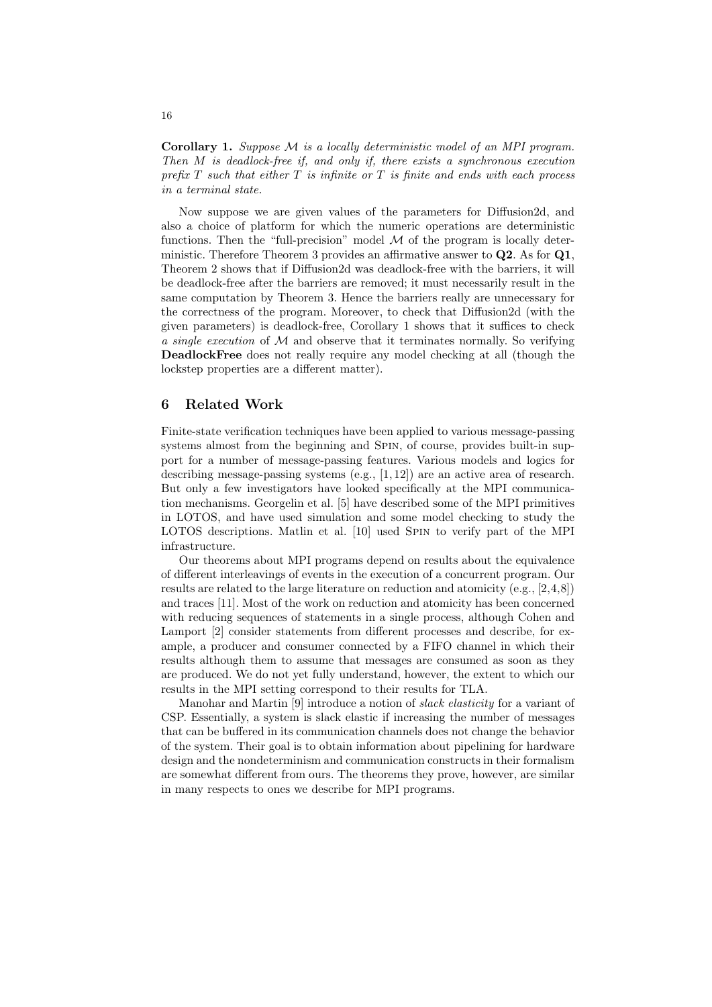Corollary 1. Suppose M is a locally deterministic model of an MPI program. Then M is deadlock-free if, and only if, there exists a synchronous execution prefix  $T$  such that either  $T$  is infinite or  $T$  is finite and ends with each process in a terminal state.

Now suppose we are given values of the parameters for Diffusion2d, and also a choice of platform for which the numeric operations are deterministic functions. Then the "full-precision" model  $M$  of the program is locally deterministic. Therefore Theorem 3 provides an affirmative answer to Q2. As for Q1, Theorem 2 shows that if Diffusion2d was deadlock-free with the barriers, it will be deadlock-free after the barriers are removed; it must necessarily result in the same computation by Theorem 3. Hence the barriers really are unnecessary for the correctness of the program. Moreover, to check that Diffusion2d (with the given parameters) is deadlock-free, Corollary 1 shows that it suffices to check a single execution of  $M$  and observe that it terminates normally. So verifying DeadlockFree does not really require any model checking at all (though the lockstep properties are a different matter).

# 6 Related Work

Finite-state verification techniques have been applied to various message-passing systems almost from the beginning and Spin, of course, provides built-in support for a number of message-passing features. Various models and logics for describing message-passing systems (e.g., [1, 12]) are an active area of research. But only a few investigators have looked specifically at the MPI communication mechanisms. Georgelin et al. [5] have described some of the MPI primitives in LOTOS, and have used simulation and some model checking to study the LOTOS descriptions. Matlin et al. [10] used Spin to verify part of the MPI infrastructure.

Our theorems about MPI programs depend on results about the equivalence of different interleavings of events in the execution of a concurrent program. Our results are related to the large literature on reduction and atomicity (e.g., [2,4,8]) and traces [11]. Most of the work on reduction and atomicity has been concerned with reducing sequences of statements in a single process, although Cohen and Lamport [2] consider statements from different processes and describe, for example, a producer and consumer connected by a FIFO channel in which their results although them to assume that messages are consumed as soon as they are produced. We do not yet fully understand, however, the extent to which our results in the MPI setting correspond to their results for TLA.

Manohar and Martin [9] introduce a notion of slack elasticity for a variant of CSP. Essentially, a system is slack elastic if increasing the number of messages that can be buffered in its communication channels does not change the behavior of the system. Their goal is to obtain information about pipelining for hardware design and the nondeterminism and communication constructs in their formalism are somewhat different from ours. The theorems they prove, however, are similar in many respects to ones we describe for MPI programs.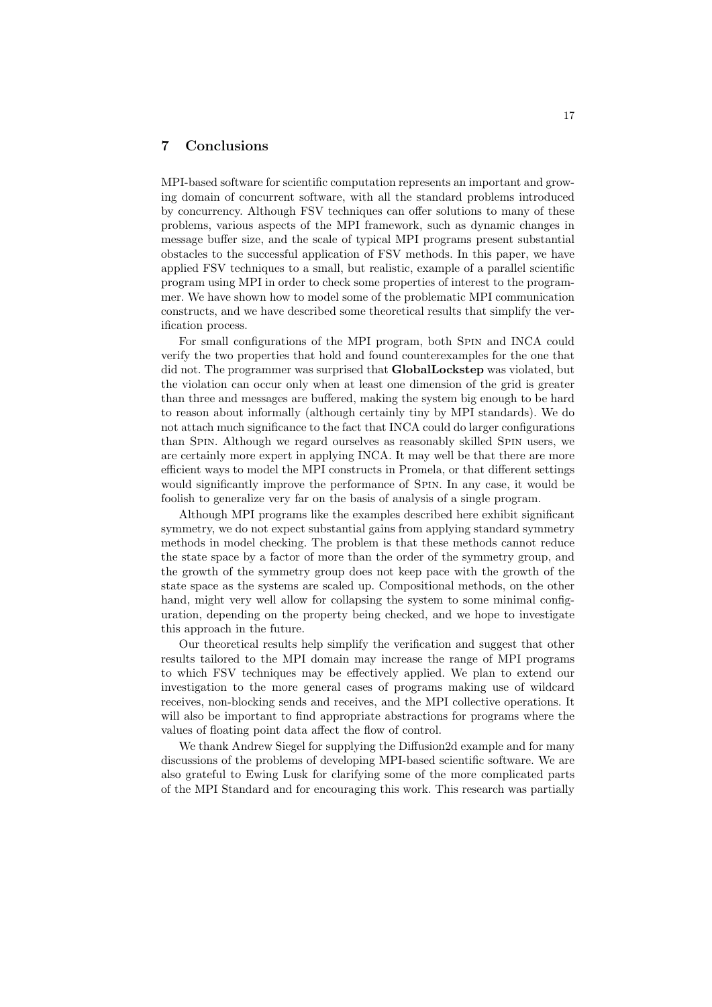## 7 Conclusions

MPI-based software for scientific computation represents an important and growing domain of concurrent software, with all the standard problems introduced by concurrency. Although FSV techniques can offer solutions to many of these problems, various aspects of the MPI framework, such as dynamic changes in message buffer size, and the scale of typical MPI programs present substantial obstacles to the successful application of FSV methods. In this paper, we have applied FSV techniques to a small, but realistic, example of a parallel scientific program using MPI in order to check some properties of interest to the programmer. We have shown how to model some of the problematic MPI communication constructs, and we have described some theoretical results that simplify the verification process.

For small configurations of the MPI program, both Spin and INCA could verify the two properties that hold and found counterexamples for the one that did not. The programmer was surprised that **GlobalLockstep** was violated, but the violation can occur only when at least one dimension of the grid is greater than three and messages are buffered, making the system big enough to be hard to reason about informally (although certainly tiny by MPI standards). We do not attach much significance to the fact that INCA could do larger configurations than Spin. Although we regard ourselves as reasonably skilled Spin users, we are certainly more expert in applying INCA. It may well be that there are more efficient ways to model the MPI constructs in Promela, or that different settings would significantly improve the performance of Spin. In any case, it would be foolish to generalize very far on the basis of analysis of a single program.

Although MPI programs like the examples described here exhibit significant symmetry, we do not expect substantial gains from applying standard symmetry methods in model checking. The problem is that these methods cannot reduce the state space by a factor of more than the order of the symmetry group, and the growth of the symmetry group does not keep pace with the growth of the state space as the systems are scaled up. Compositional methods, on the other hand, might very well allow for collapsing the system to some minimal configuration, depending on the property being checked, and we hope to investigate this approach in the future.

Our theoretical results help simplify the verification and suggest that other results tailored to the MPI domain may increase the range of MPI programs to which FSV techniques may be effectively applied. We plan to extend our investigation to the more general cases of programs making use of wildcard receives, non-blocking sends and receives, and the MPI collective operations. It will also be important to find appropriate abstractions for programs where the values of floating point data affect the flow of control.

We thank Andrew Siegel for supplying the Diffusion 2d example and for many discussions of the problems of developing MPI-based scientific software. We are also grateful to Ewing Lusk for clarifying some of the more complicated parts of the MPI Standard and for encouraging this work. This research was partially